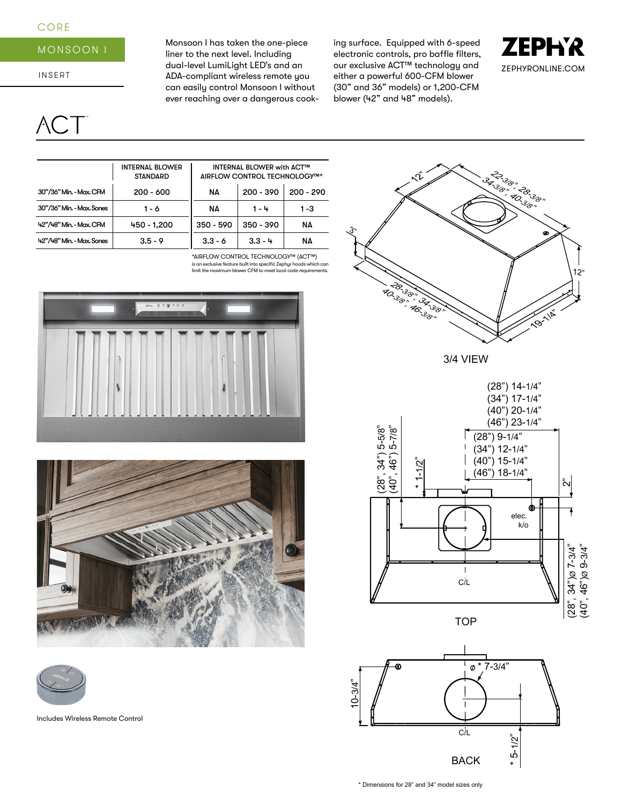## CORE

## MONSOON I

INSERT

# $\setminus$  C

Monsoon I has taken the one-piece liner to the next level. Including dual-level LumiLight LED's and an ADA-compliant wireless remote you can easily control Monsoon I without ever reaching over a dangerous cooking surface. Equipped with 6-speed electronic controls, pro baffle filters, our exclusive ACT™ technology and either a powerful 600-CFM blower (30" and 36" models) or 1,200-CFM blower (42" and 48" models).





\*AIRFLOW CONTROL TECHNOLOGY™ (ACT™) is an exclusive feature built into specific Zephyr hoods which can limit the maximum blower CFM to meet local code requirements.







Includes Wireless Remote Control

**28-3/8", 32-3/8"** 12" $\mathcal{N}$ 3"32.3<sub>8", 28.38</sub>, **19-11** 

3/4 VIEW